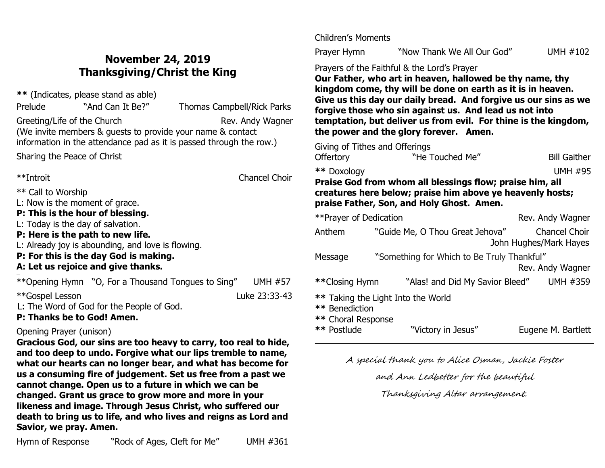# **November 24, 2019 Thanksgiving/Christ the King**

**\*\*** (Indicates, please stand as able)

Prelude "And Can It Be?" Thomas Campbell/Rick Parks Greeting/Life of the Church Rev. Andy Wagner (We invite members & guests to provide your name & contact information in the attendance pad as it is passed through the row.)

Sharing the Peace of Christ

\*\*Introit Chancel Choir

\*\* Call to Worship

L: Now is the moment of grace.

## **P: This is the hour of blessing.**

L: Today is the day of salvation.

## **P: Here is the path to new life.**

L: Already joy is abounding, and love is flowing.

## **P: For this is the day God is making.**

## **A: Let us rejoice and give thanks.**

ł \*\*Opening Hymn "O, For a Thousand Tongues to Sing" UMH #57

\*\*Gospel Lesson Luke 23:33-43

L: The Word of God for the People of God.

**P: Thanks be to God! Amen.**

# Opening Prayer (unison)

**Gracious God, our sins are too heavy to carry, too real to hide, and too deep to undo. Forgive what our lips tremble to name, what our hearts can no longer bear, and what has become for us a consuming fire of judgement. Set us free from a past we cannot change. Open us to a future in which we can be changed. Grant us grace to grow more and more in your likeness and image. Through Jesus Christ, who suffered our death to bring us to life, and who lives and reigns as Lord and Savior, we pray. Amen.**

Children's Moments

Prayer Hymn"Now Thank We All Our God" UMH #102

Prayers of the Faithful & the Lord's Prayer

**Our Father, who art in heaven, hallowed be thy name, thy kingdom come, thy will be done on earth as it is in heaven. Give us this day our daily bread. And forgive us our sins as we forgive those who sin against us. And lead us not into temptation, but deliver us from evil. For thine is the kingdom, the power and the glory forever. Amen.**

Giving of Tithes and Offerings Offertory **The Touched Me"** Bill Gaither **\*\*** Doxology UMH #95 **Praise God from whom all blessings flow; praise him, all** 

**creatures here below; praise him above ye heavenly hosts; praise Father, Son, and Holy Ghost. Amen.**

| ** Prayer of Dedication                                                    |                                            | Rev. Andy Wagner                               |  |  |
|----------------------------------------------------------------------------|--------------------------------------------|------------------------------------------------|--|--|
| Anthem                                                                     | "Guide Me, O Thou Great Jehova"            | <b>Chancel Choir</b><br>John Hughes/Mark Hayes |  |  |
| Message                                                                    | "Something for Which to Be Truly Thankful" | Rev. Andy Wagner                               |  |  |
| **Closing Hymn                                                             | "Alas! and Did My Savior Bleed"            | UMH #359                                       |  |  |
| ** Taking the Light Into the World<br>** Benediction<br>** Choral Response |                                            |                                                |  |  |
| ** Postlude                                                                | "Victory in Jesus"                         | Eugene M. Bartlett                             |  |  |

A special thank you to Alice Osman, Jackie Foster

and Ann Ledbetter for the beautiful

Thanksgiving Altar arrangement.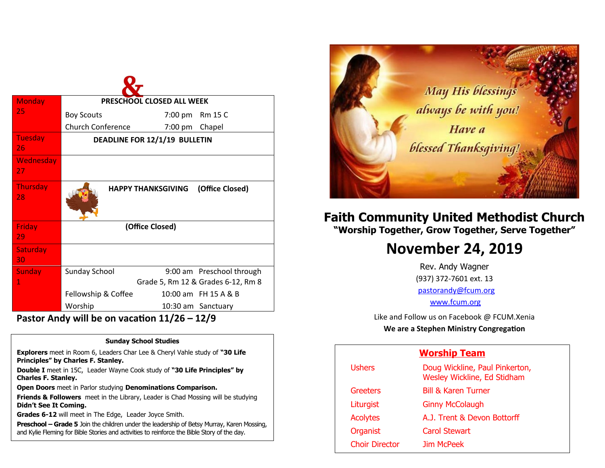| <b>Monday</b>         | PRESCHOOL CLOSED ALL WEEK     |                                    |                           |  |
|-----------------------|-------------------------------|------------------------------------|---------------------------|--|
| 25                    | <b>Boy Scouts</b>             | 7:00 pm                            | <b>Rm 15 C</b>            |  |
|                       | <b>Church Conference</b>      | 7:00 pm                            | Chapel                    |  |
| Tuesday<br>26         | DEADLINE FOR 12/1/19 BULLETIN |                                    |                           |  |
| Wednesday<br>27       |                               |                                    |                           |  |
| <b>Thursday</b><br>28 |                               | <b>HAPPY THANKSGIVING</b>          | (Office Closed)           |  |
| Friday<br>29          | (Office Closed)               |                                    |                           |  |
| Saturday<br>30        |                               |                                    |                           |  |
| <b>Sunday</b>         | <b>Sunday School</b>          |                                    | 9:00 am Preschool through |  |
| 1                     |                               | Grade 5, Rm 12 & Grades 6-12, Rm 8 |                           |  |
|                       | Fellowship & Coffee           |                                    | 10:00 am FH 15 A & B      |  |
|                       | Worship                       |                                    | 10:30 am Sanctuary        |  |

**Pastor Andy will be on vacation 11/26 – 12/9**

#### **Sunday School Studies**

**Explorers** meet in Room 6, Leaders Char Lee & Cheryl Vahle study of **"30 Life Principles" by Charles F. Stanley.** 

**Double I** meet in 15C, Leader Wayne Cook study of **"30 Life Principles" by Charles F. Stanley.**

**Open Doors** meet in Parlor studying **Denominations Comparison.**

**Friends & Followers** meet in the Library, Leader is Chad Mossing will be studying **Didn't See It Coming.**

**Grades 6-12** will meet in The Edge, Leader Joyce Smith.

**Preschool – Grade 5** Join the children under the leadership of Betsy Murray, Karen Mossing, and Kylie Fleming for Bible Stories and activities to reinforce the Bible Story of the day.



# **Faith Community United Methodist Church "Worship Together, Grow Together, Serve Together"**

# **November 24, 2019**

Rev. Andy Wagner (937) 372-7601 ext. 13 [pastorandy@fcum.org](mailto:pastorandy@fcum.org) [www.fcum.org](http://www.fcum.org/)

Like and Follow us on Facebook @ FCUM.Xenia

**We are a Stephen Ministry Congregation**

## **Worship Team**

| <b>Ushers</b>         | Doug Wickline, Paul Pinkerton,<br>Wesley Wickline, Ed Stidham |
|-----------------------|---------------------------------------------------------------|
| Greeters              | <b>Bill &amp; Karen Turner</b>                                |
| Liturgist             | <b>Ginny McColaugh</b>                                        |
| <b>Acolytes</b>       | A.J. Trent & Devon Bottorff                                   |
| Organist              | <b>Carol Stewart</b>                                          |
| <b>Choir Director</b> | Jim McPeek                                                    |